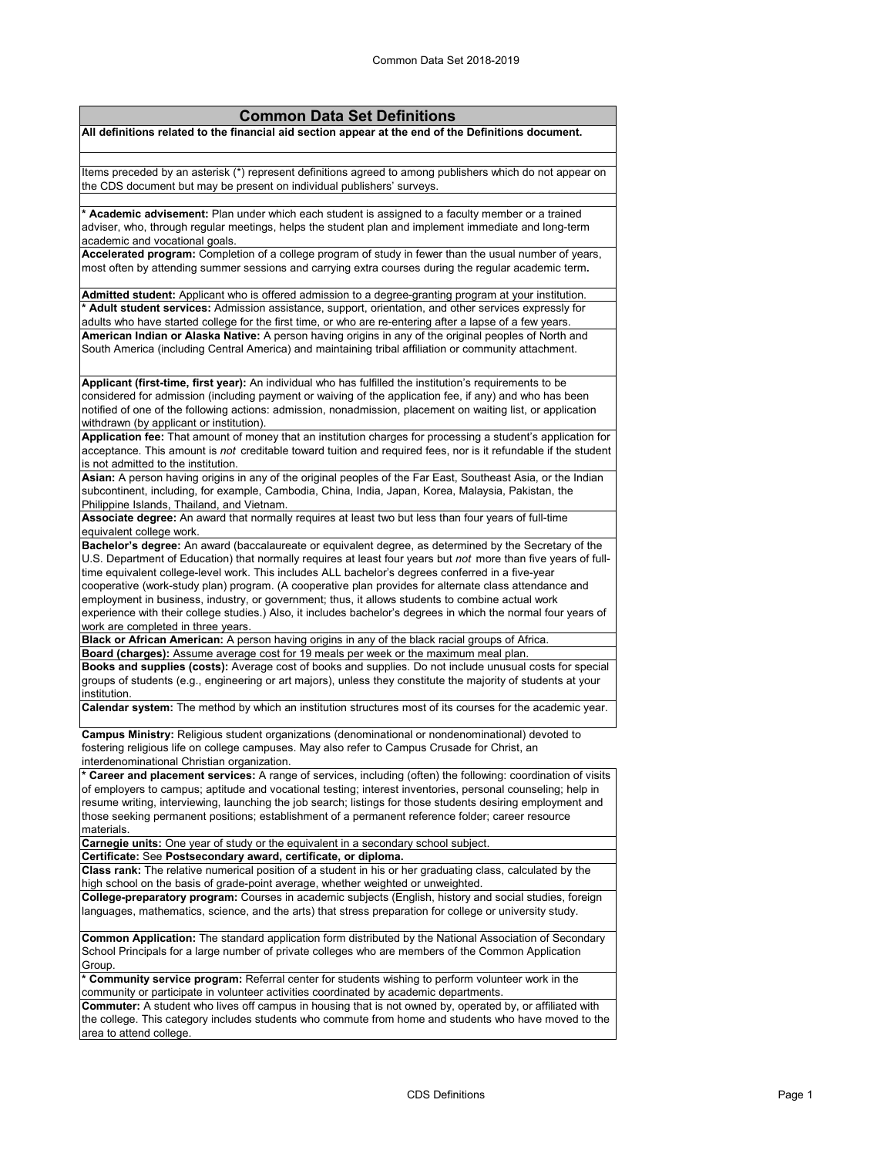| <b>Common Data Set Definitions</b>                                                                                                                                                                               |
|------------------------------------------------------------------------------------------------------------------------------------------------------------------------------------------------------------------|
| All definitions related to the financial aid section appear at the end of the Definitions document.                                                                                                              |
|                                                                                                                                                                                                                  |
| Items preceded by an asterisk (*) represent definitions agreed to among publishers which do not appear on                                                                                                        |
| the CDS document but may be present on individual publishers' surveys.                                                                                                                                           |
|                                                                                                                                                                                                                  |
| * Academic advisement: Plan under which each student is assigned to a faculty member or a trained                                                                                                                |
| adviser, who, through regular meetings, helps the student plan and implement immediate and long-term                                                                                                             |
| academic and vocational goals.                                                                                                                                                                                   |
| Accelerated program: Completion of a college program of study in fewer than the usual number of years,<br>most often by attending summer sessions and carrying extra courses during the regular academic term.   |
|                                                                                                                                                                                                                  |
| Admitted student: Applicant who is offered admission to a degree-granting program at your institution.                                                                                                           |
| * Adult student services: Admission assistance, support, orientation, and other services expressly for                                                                                                           |
| adults who have started college for the first time, or who are re-entering after a lapse of a few years.                                                                                                         |
| American Indian or Alaska Native: A person having origins in any of the original peoples of North and                                                                                                            |
| South America (including Central America) and maintaining tribal affiliation or community attachment.                                                                                                            |
|                                                                                                                                                                                                                  |
| Applicant (first-time, first year): An individual who has fulfilled the institution's requirements to be                                                                                                         |
| considered for admission (including payment or waiving of the application fee, if any) and who has been                                                                                                          |
| notified of one of the following actions: admission, nonadmission, placement on waiting list, or application                                                                                                     |
| withdrawn (by applicant or institution).<br>Application fee: That amount of money that an institution charges for processing a student's application for                                                         |
| acceptance. This amount is not creditable toward tuition and required fees, nor is it refundable if the student                                                                                                  |
| is not admitted to the institution.                                                                                                                                                                              |
| Asian: A person having origins in any of the original peoples of the Far East, Southeast Asia, or the Indian                                                                                                     |
| subcontinent, including, for example, Cambodia, China, India, Japan, Korea, Malaysia, Pakistan, the                                                                                                              |
| Philippine Islands, Thailand, and Vietnam.                                                                                                                                                                       |
| Associate degree: An award that normally requires at least two but less than four years of full-time                                                                                                             |
| equivalent college work.                                                                                                                                                                                         |
| Bachelor's degree: An award (baccalaureate or equivalent degree, as determined by the Secretary of the                                                                                                           |
| U.S. Department of Education) that normally requires at least four years but not more than five years of full-                                                                                                   |
| time equivalent college-level work. This includes ALL bachelor's degrees conferred in a five-year                                                                                                                |
| cooperative (work-study plan) program. (A cooperative plan provides for alternate class attendance and<br>employment in business, industry, or government; thus, it allows students to combine actual work       |
| experience with their college studies.) Also, it includes bachelor's degrees in which the normal four years of                                                                                                   |
| work are completed in three years.                                                                                                                                                                               |
| Black or African American: A person having origins in any of the black racial groups of Africa.                                                                                                                  |
| Board (charges): Assume average cost for 19 meals per week or the maximum meal plan.                                                                                                                             |
| Books and supplies (costs): Average cost of books and supplies. Do not include unusual costs for special                                                                                                         |
| groups of students (e.g., engineering or art majors), unless they constitute the majority of students at your                                                                                                    |
| institution.                                                                                                                                                                                                     |
| Calendar system: The method by which an institution structures most of its courses for the academic year.                                                                                                        |
| Campus Ministry: Religious student organizations (denominational or nondenominational) devoted to                                                                                                                |
| fostering religious life on college campuses. May also refer to Campus Crusade for Christ, an                                                                                                                    |
| interdenominational Christian organization.                                                                                                                                                                      |
| * Career and placement services: A range of services, including (often) the following: coordination of visits                                                                                                    |
| of employers to campus; aptitude and vocational testing; interest inventories, personal counseling; help in                                                                                                      |
| resume writing, interviewing, launching the job search; listings for those students desiring employment and<br>those seeking permanent positions; establishment of a permanent reference folder; career resource |
| materials.                                                                                                                                                                                                       |
| Carnegie units: One year of study or the equivalent in a secondary school subject.                                                                                                                               |
| Certificate: See Postsecondary award, certificate, or diploma.                                                                                                                                                   |
| <b>Class rank:</b> The relative numerical position of a student in his or her graduating class, calculated by the                                                                                                |
| high school on the basis of grade-point average, whether weighted or unweighted.                                                                                                                                 |
| College-preparatory program: Courses in academic subjects (English, history and social studies, foreign                                                                                                          |
| languages, mathematics, science, and the arts) that stress preparation for college or university study.                                                                                                          |
| Common Application: The standard application form distributed by the National Association of Secondary                                                                                                           |
| School Principals for a large number of private colleges who are members of the Common Application                                                                                                               |
| Group.                                                                                                                                                                                                           |
| * Community service program: Referral center for students wishing to perform volunteer work in the                                                                                                               |
| community or participate in volunteer activities coordinated by academic departments.                                                                                                                            |
| Commuter: A student who lives off campus in housing that is not owned by, operated by, or affiliated with                                                                                                        |
| the college. This category includes students who commute from home and students who have moved to the                                                                                                            |
| area to attend college.                                                                                                                                                                                          |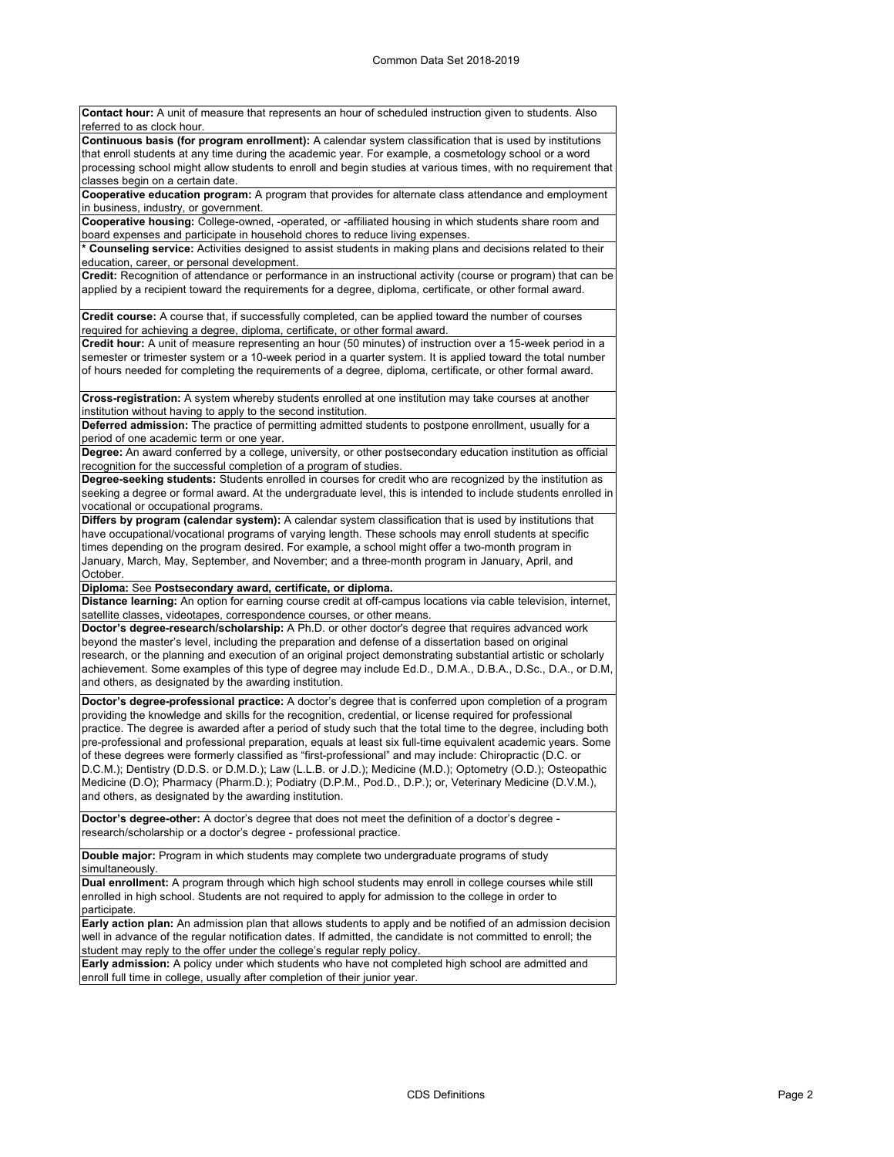**Contact hour:** A unit of measure that represents an hour of scheduled instruction given to students. Also referred to as clock hour. **Continuous basis (for program enrollment):** A calendar system classification that is used by institutions that enroll students at any time during the academic year. For example, a cosmetology school or a word processing school might allow students to enroll and begin studies at various times, with no requirement that classes begin on a certain date.

**Cooperative education program:** A program that provides for alternate class attendance and employment in business, industry, or government.

**Cooperative housing:** College-owned, -operated, or -affiliated housing in which students share room and board expenses and participate in household chores to reduce living expenses.

**\* Counseling service:** Activities designed to assist students in making plans and decisions related to their education, career, or personal development.

**Credit:** Recognition of attendance or performance in an instructional activity (course or program) that can be applied by a recipient toward the requirements for a degree, diploma, certificate, or other formal award.

**Credit course:** A course that, if successfully completed, can be applied toward the number of courses required for achieving a degree, diploma, certificate, or other formal award.

**Credit hour:** A unit of measure representing an hour (50 minutes) of instruction over a 15-week period in a semester or trimester system or a 10-week period in a quarter system. It is applied toward the total number of hours needed for completing the requirements of a degree, diploma, certificate, or other formal award.

**Cross-registration:** A system whereby students enrolled at one institution may take courses at another institution without having to apply to the second institution.

**Deferred admission:** The practice of permitting admitted students to postpone enrollment, usually for a period of one academic term or one year.

**Degree:** An award conferred by a college, university, or other postsecondary education institution as official recognition for the successful completion of a program of studies.

**Degree-seeking students:** Students enrolled in courses for credit who are recognized by the institution as seeking a degree or formal award. At the undergraduate level, this is intended to include students enrolled in vocational or occupational programs.

**Differs by program (calendar system):** A calendar system classification that is used by institutions that have occupational/vocational programs of varying length. These schools may enroll students at specific times depending on the program desired. For example, a school might offer a two-month program in January, March, May, September, and November; and a three-month program in January, April, and October.

**Diploma:** See **Postsecondary award, certificate, or diploma.**

**Distance learning:** An option for earning course credit at off-campus locations via cable television, internet, satellite classes, videotapes, correspondence courses, or other means.

**Doctor's degree-research/scholarship:** A Ph.D. or other doctor's degree that requires advanced work beyond the master's level, including the preparation and defense of a dissertation based on original research, or the planning and execution of an original project demonstrating substantial artistic or scholarly achievement. Some examples of this type of degree may include Ed.D., D.M.A., D.B.A., D.Sc., D.A., or D.M, and others, as designated by the awarding institution.

**Doctor's degree-professional practice:** A doctor's degree that is conferred upon completion of a program providing the knowledge and skills for the recognition, credential, or license required for professional practice. The degree is awarded after a period of study such that the total time to the degree, including both pre-professional and professional preparation, equals at least six full-time equivalent academic years. Some of these degrees were formerly classified as "first-professional" and may include: Chiropractic (D.C. or D.C.M.); Dentistry (D.D.S. or D.M.D.); Law (L.L.B. or J.D.); Medicine (M.D.); Optometry (O.D.); Osteopathic Medicine (D.O); Pharmacy (Pharm.D.); Podiatry (D.P.M., Pod.D., D.P.); or, Veterinary Medicine (D.V.M.), and others, as designated by the awarding institution.

**Doctor's degree-other:** A doctor's degree that does not meet the definition of a doctor's degree research/scholarship or a doctor's degree - professional practice.

**Double major:** Program in which students may complete two undergraduate programs of study simultaneously.

**Dual enrollment:** A program through which high school students may enroll in college courses while still enrolled in high school. Students are not required to apply for admission to the college in order to participate.

**Early action plan:** An admission plan that allows students to apply and be notified of an admission decision well in advance of the regular notification dates. If admitted, the candidate is not committed to enroll; the student may reply to the offer under the college's regular reply policy.

**Early admission:** A policy under which students who have not completed high school are admitted and enroll full time in college, usually after completion of their junior year.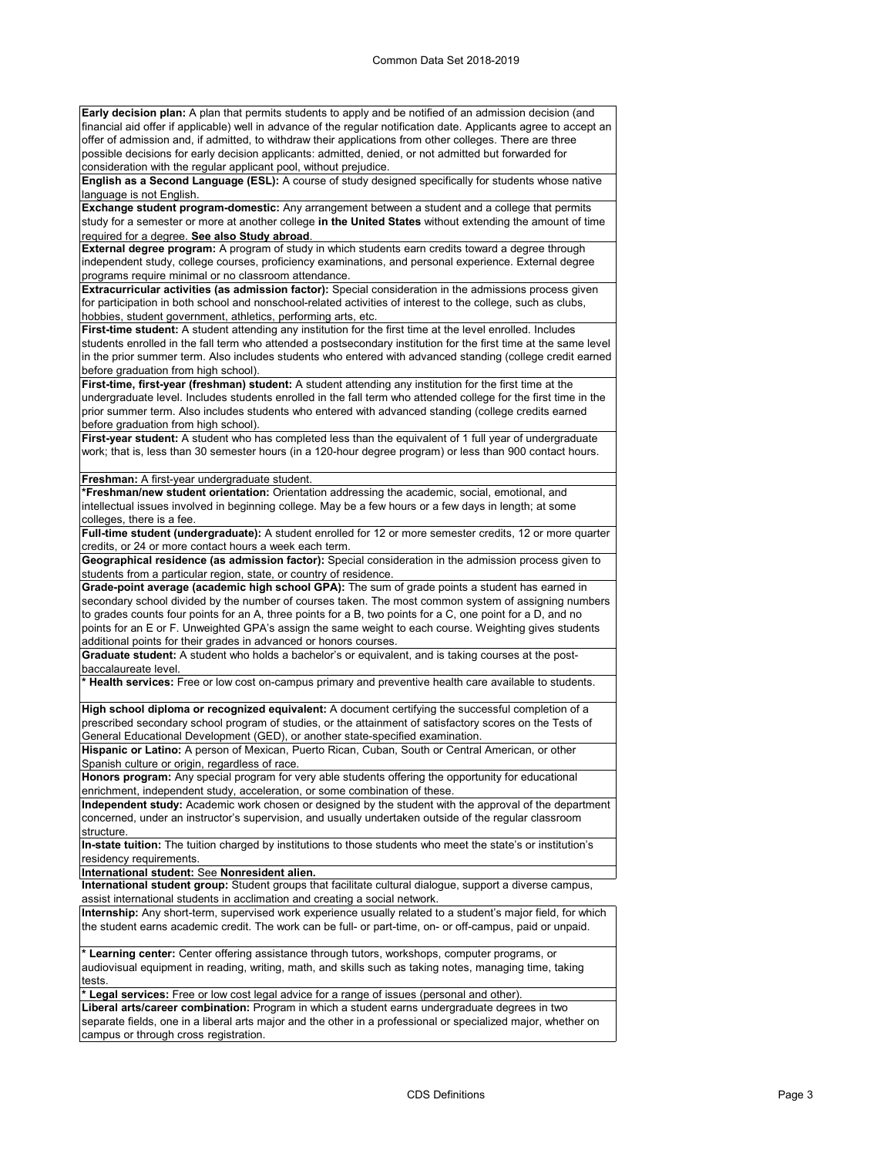**Early decision plan:** A plan that permits students to apply and be notified of an admission decision (and financial aid offer if applicable) well in advance of the regular notification date. Applicants agree to accept an offer of admission and, if admitted, to withdraw their applications from other colleges. There are three possible decisions for early decision applicants: admitted, denied, or not admitted but forwarded for consideration with the regular applicant pool, without prejudice.

**English as a Second Language (ESL):** A course of study designed specifically for students whose native language is not English.

**Exchange student program-domestic:** Any arrangement between a student and a college that permits study for a semester or more at another college **in the United States** without extending the amount of time required for a degree. **See also Study abroad**.

**External degree program:** A program of study in which students earn credits toward a degree through independent study, college courses, proficiency examinations, and personal experience. External degree programs require minimal or no classroom attendance.

**Extracurricular activities (as admission factor):** Special consideration in the admissions process given for participation in both school and nonschool-related activities of interest to the college, such as clubs, hobbies, student government, athletics, performing arts, etc.

First-time student: A student attending any institution for the first time at the level enrolled. Includes students enrolled in the fall term who attended a postsecondary institution for the first time at the same level in the prior summer term. Also includes students who entered with advanced standing (college credit earned before graduation from high school).

**First-time, first-year (freshman) student:** A student attending any institution for the first time at the undergraduate level. Includes students enrolled in the fall term who attended college for the first time in the prior summer term. Also includes students who entered with advanced standing (college credits earned before graduation from high school)

**First-year student:** A student who has completed less than the equivalent of 1 full year of undergraduate work; that is, less than 30 semester hours (in a 120-hour degree program) or less than 900 contact hours.

**Freshman:** A first-year undergraduate student.

**\*Freshman/new student orientation:** Orientation addressing the academic, social, emotional, and intellectual issues involved in beginning college. May be a few hours or a few days in length; at some colleges, there is a fee.

**Full-time student (undergraduate):** A student enrolled for 12 or more semester credits, 12 or more quarter credits, or 24 or more contact hours a week each term.

**Geographical residence (as admission factor):** Special consideration in the admission process given to students from a particular region, state, or country of residence.

**Grade-point average (academic high school GPA):** The sum of grade points a student has earned in secondary school divided by the number of courses taken. The most common system of assigning numbers to grades counts four points for an A, three points for a B, two points for a C, one point for a D, and no points for an E or F. Unweighted GPA's assign the same weight to each course. Weighting gives students additional points for their grades in advanced or honors courses.

**Graduate student:** A student who holds a bachelor's or equivalent, and is taking courses at the postbaccalaureate level.

**\* Health services:** Free or low cost on-campus primary and preventive health care available to students.

**High school diploma or recognized equivalent:** A document certifying the successful completion of a prescribed secondary school program of studies, or the attainment of satisfactory scores on the Tests of General Educational Development (GED), or another state-specified examination.

**Hispanic or Latino:** A person of Mexican, Puerto Rican, Cuban, South or Central American, or other Spanish culture or origin, regardless of race.

**Honors program:** Any special program for very able students offering the opportunity for educational enrichment, independent study, acceleration, or some combination of these.

**Independent study:** Academic work chosen or designed by the student with the approval of the department concerned, under an instructor's supervision, and usually undertaken outside of the regular classroom structure.

**In-state tuition:** The tuition charged by institutions to those students who meet the state's or institution's residency requirements.

**International student:** See **Nonresident alien.**

**International student group:** Student groups that facilitate cultural dialogue, support a diverse campus, assist international students in acclimation and creating a social network.

**Internship:** Any short-term, supervised work experience usually related to a student's major field, for which the student earns academic credit. The work can be full- or part-time, on- or off-campus, paid or unpaid.

**\* Learning center:** Center offering assistance through tutors, workshops, computer programs, or audiovisual equipment in reading, writing, math, and skills such as taking notes, managing time, taking tests.

**\* Legal services:** Free or low cost legal advice for a range of issues (personal and other).

**Liberal arts/career combination:** Program in which a student earns undergraduate degrees in two separate fields, one in a liberal arts major and the other in a professional or specialized major, whether on ‑ campus or through cross registration.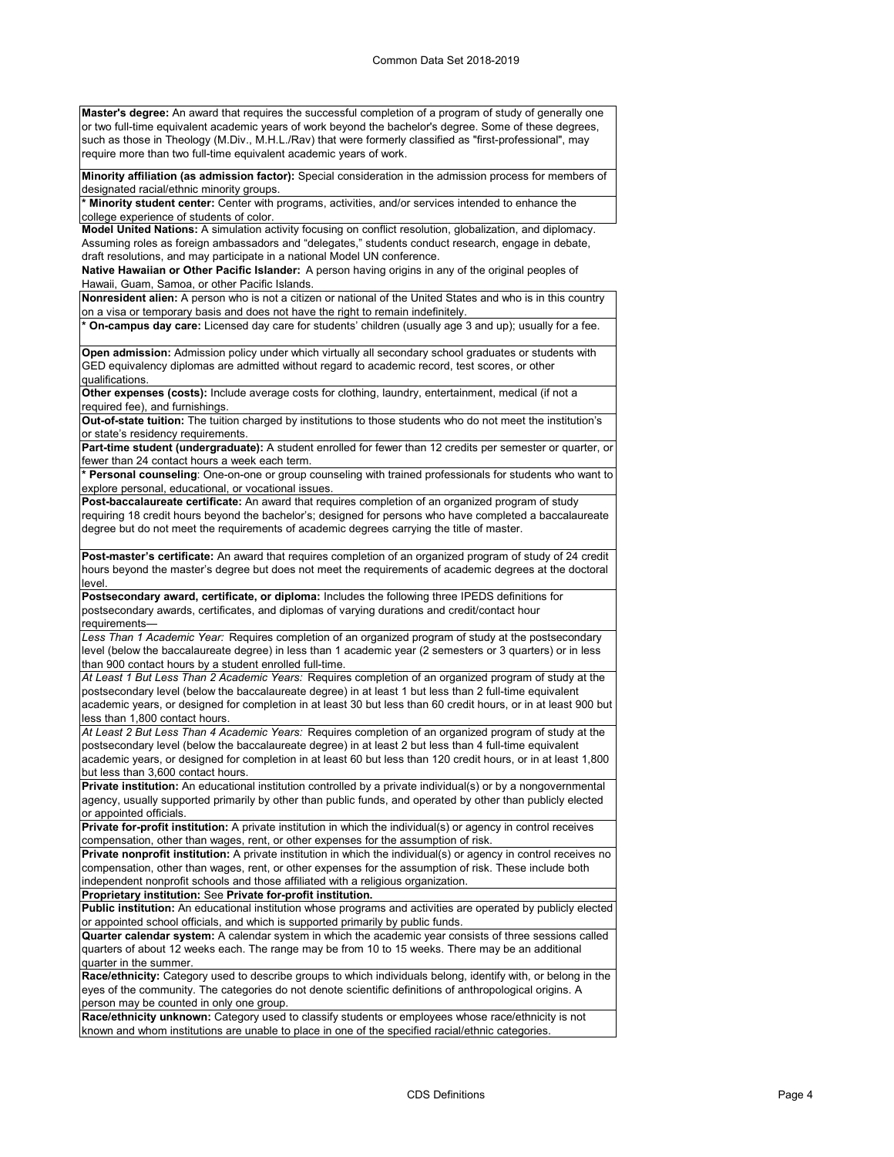**Master's degree:** An award that requires the successful completion of a program of study of generally one or two full-time equivalent academic years of work beyond the bachelor's degree. Some of these degrees, such as those in Theology (M.Div., M.H.L./Rav) that were formerly classified as "first-professional", may require more than two full-time equivalent academic years of work.

**Minority affiliation (as admission factor):** Special consideration in the admission process for members of designated racial/ethnic minority groups.

**\* Minority student center:** Center with programs, activities, and/or services intended to enhance the college experience of students of color.

**Model United Nations:** A simulation activity focusing on conflict resolution, globalization, and diplomacy. Assuming roles as foreign ambassadors and "delegates," students conduct research, engage in debate, draft resolutions, and may participate in a national Model UN conference.

**Native Hawaiian or Other Pacific Islander:** A person having origins in any of the original peoples of Hawaii, Guam, Samoa, or other Pacific Islands.

**Nonresident alien:** A person who is not a citizen or national of the United States and who is in this country on a visa or temporary basis and does not have the right to remain indefinitely.

**\* On-campus day care:** Licensed day care for students' children (usually age 3 and up); usually for a fee.

**Open admission:** Admission policy under which virtually all secondary school graduates or students with GED equivalency diplomas are admitted without regard to academic record, test scores, or other qualifications.

**Other expenses (costs):** Include average costs for clothing, laundry, entertainment, medical (if not a required fee), and furnishings.

**Out-of-state tuition:** The tuition charged by institutions to those students who do not meet the institution's or state's residency requirements.

Part-time student (undergraduate): A student enrolled for fewer than 12 credits per semester or quarter, or fewer than 24 contact hours a week each term.

**\* Personal counseling**: One-on-one or group counseling with trained professionals for students who want to explore personal, educational, or vocational issues.

**Post-baccalaureate certificate:** An award that requires completion of an organized program of study requiring 18 credit hours beyond the bachelor's; designed for persons who have completed a baccalaureate degree but do not meet the requirements of academic degrees carrying the title of master.

**Post-master's certificate:** An award that requires completion of an organized program of study of 24 credit hours beyond the master's degree but does not meet the requirements of academic degrees at the doctoral level.

**Postsecondary award, certificate, or diploma:** Includes the following three IPEDS definitions for postsecondary awards, certificates, and diplomas of varying durations and credit/contact hour requirements—

*Less Than 1 Academic Year:* Requires completion of an organized program of study at the postsecondary level (below the baccalaureate degree) in less than 1 academic year (2 semesters or 3 quarters) or in less than 900 contact hours by a student enrolled full-time.

*At Least 1 But Less Than 2 Academic Years:* Requires completion of an organized program of study at the postsecondary level (below the baccalaureate degree) in at least 1 but less than 2 full-time equivalent academic years, or designed for completion in at least 30 but less than 60 credit hours, or in at least 900 but less than 1,800 contact hours.

*At Least 2 But Less Than 4 Academic Years:* Requires completion of an organized program of study at the postsecondary level (below the baccalaureate degree) in at least 2 but less than 4 full-time equivalent academic years, or designed for completion in at least 60 but less than 120 credit hours, or in at least 1,800 but less than 3,600 contact hours.

**Private institution:** An educational institution controlled by a private individual(s) or by a nongovernmental agency, usually supported primarily by other than public funds, and operated by other than publicly elected or appointed officials.

**Private for-profit institution:** A private institution in which the individual(s) or agency in control receives compensation, other than wages, rent, or other expenses for the assumption of risk.

**Private nonprofit institution:** A private institution in which the individual(s) or agency in control receives no compensation, other than wages, rent, or other expenses for the assumption of risk. These include both independent nonprofit schools and those affiliated with a religious organization.

**Proprietary institution:** See **Private for-profit institution.**

**Public institution:** An educational institution whose programs and activities are operated by publicly elected or appointed school officials, and which is supported primarily by public funds.

**Quarter calendar system:** A calendar system in which the academic year consists of three sessions called quarters of about 12 weeks each. The range may be from 10 to 15 weeks. There may be an additional quarter in the summer.

**Race/ethnicity:** Category used to describe groups to which individuals belong, identify with, or belong in the eyes of the community. The categories do not denote scientific definitions of anthropological origins. A person may be counted in only one group.

**Race/ethnicity unknown:** Category used to classify students or employees whose race/ethnicity is not known and whom institutions are unable to place in one of the specified racial/ethnic categories.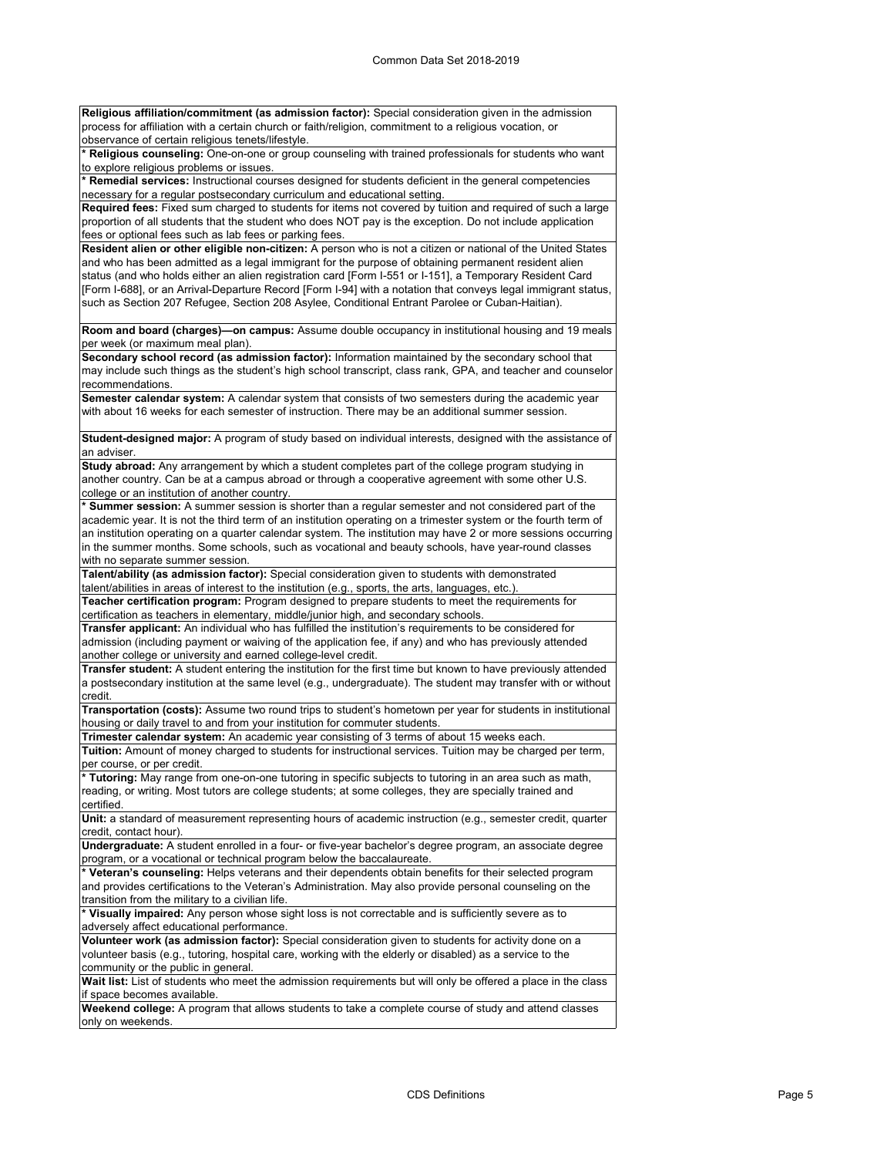**Religious affiliation/commitment (as admission factor):** Special consideration given in the admission process for affiliation with a certain church or faith/religion, commitment to a religious vocation, or observance of certain religious tenets/lifestyle.

**\* Religious counseling:** One-on-one or group counseling with trained professionals for students who want to explore religious problems or issues.

**\* Remedial services:** Instructional courses designed for students deficient in the general competencies necessary for a regular postsecondary curriculum and educational setting.

**Required fees:** Fixed sum charged to students for items not covered by tuition and required of such a large proportion of all students that the student who does NOT pay is the exception. Do not include application fees or optional fees such as lab fees or parking fees.

**Resident alien or other eligible non-citizen:** A person who is not a citizen or national of the United States and who has been admitted as a legal immigrant for the purpose of obtaining permanent resident alien status (and who holds either an alien registration card [Form I-551 or I-151], a Temporary Resident Card [Form I-688], or an Arrival-Departure Record [Form I-94] with a notation that conveys legal immigrant status, such as Section 207 Refugee, Section 208 Asylee, Conditional Entrant Parolee or Cuban-Haitian).

**Room and board (charges)—on campus:** Assume double occupancy in institutional housing and 19 meals per week (or maximum meal plan).

**Secondary school record (as admission factor):** Information maintained by the secondary school that may include such things as the student's high school transcript, class rank, GPA, and teacher and counselor recommendations.

**Semester calendar system:** A calendar system that consists of two semesters during the academic year with about 16 weeks for each semester of instruction. There may be an additional summer session.

**Student-designed major:** A program of study based on individual interests, designed with the assistance of an adviser.

**Study abroad:** Any arrangement by which a student completes part of the college program studying in another country. Can be at a campus abroad or through a cooperative agreement with some other U.S. college or an institution of another country.

**\* Summer session:** A summer session is shorter than a regular semester and not considered part of the academic year. It is not the third term of an institution operating on a trimester system or the fourth term of an institution operating on a quarter calendar system. The institution may have 2 or more sessions occurring in the summer months. Some schools, such as vocational and beauty schools, have year-round classes with no separate summer session

**Talent/ability (as admission factor):** Special consideration given to students with demonstrated

talent/abilities in areas of interest to the institution (e.g., sports, the arts, languages, etc.). **Teacher certification program:** Program designed to prepare students to meet the requirements for

certification as teachers in elementary, middle/junior high, and secondary schools. **Transfer applicant:** An individual who has fulfilled the institution's requirements to be considered for

admission (including payment or waiving of the application fee, if any) and who has previously attended another college or university and earned college-level credit.

**Transfer student:** A student entering the institution for the first time but known to have previously attended a postsecondary institution at the same level (e.g., undergraduate). The student may transfer with or without credit.

**Transportation (costs):** Assume two round trips to student's hometown per year for students in institutional housing or daily travel to and from your institution for commuter students.

**Trimester calendar system:** An academic year consisting of 3 terms of about 15 weeks each.

**Tuition:** Amount of money charged to students for instructional services. Tuition may be charged per term, per course, or per credit.

**\* Tutoring:** May range from one-on-one tutoring in specific subjects to tutoring in an area such as math, reading, or writing. Most tutors are college students; at some colleges, they are specially trained and certified.

**Unit:** a standard of measurement representing hours of academic instruction (e.g., semester credit, quarter credit, contact hour).

**Undergraduate:** A student enrolled in a four- or five-year bachelor's degree program, an associate degree program, or a vocational or technical program below the baccalaureate.

**\* Veteran's counseling:** Helps veterans and their dependents obtain benefits for their selected program and provides certifications to the Veteran's Administration. May also provide personal counseling on the transition from the military to a civilian life.

**\* Visually impaired:** Any person whose sight loss is not correctable and is sufficiently severe as to adversely affect educational performance.

**Volunteer work (as admission factor):** Special consideration given to students for activity done on a volunteer basis (e.g., tutoring, hospital care, working with the elderly or disabled) as a service to the community or the public in general.

**Wait list:** List of students who meet the admission requirements but will only be offered a place in the class if space becomes available.

**Weekend college:** A program that allows students to take a complete course of study and attend classes only on weekends